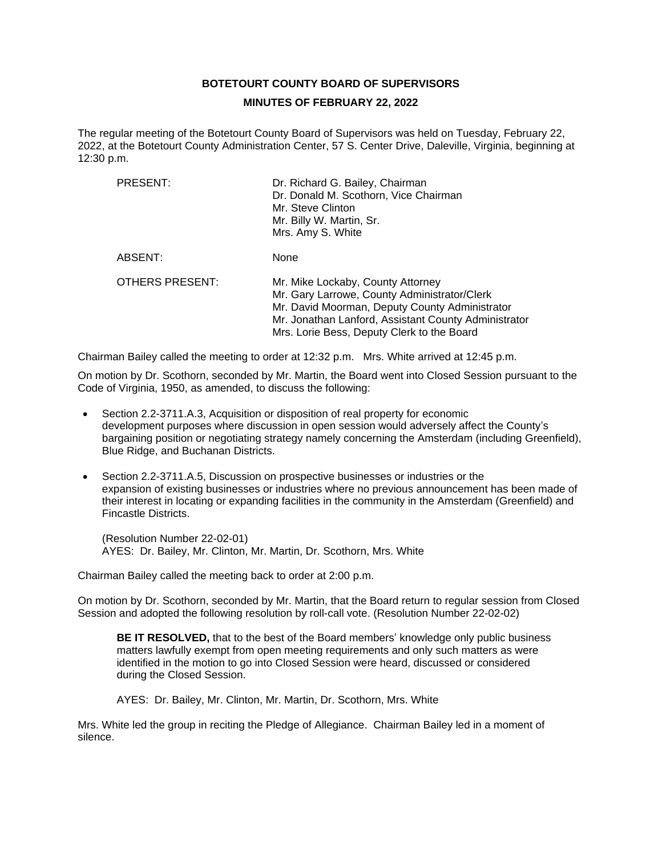## **BOTETOURT COUNTY BOARD OF SUPERVISORS**

#### **MINUTES OF FEBRUARY 22, 2022**

The regular meeting of the Botetourt County Board of Supervisors was held on Tuesday, February 22, 2022, at the Botetourt County Administration Center, 57 S. Center Drive, Daleville, Virginia, beginning at 12:30 p.m.

| PRESENT:        | Dr. Richard G. Bailey, Chairman<br>Dr. Donald M. Scothorn, Vice Chairman<br>Mr. Steve Clinton<br>Mr. Billy W. Martin, Sr.<br>Mrs. Amy S. White                                                                                            |
|-----------------|-------------------------------------------------------------------------------------------------------------------------------------------------------------------------------------------------------------------------------------------|
| ABSENT:         | None                                                                                                                                                                                                                                      |
| OTHERS PRESENT: | Mr. Mike Lockaby, County Attorney<br>Mr. Gary Larrowe, County Administrator/Clerk<br>Mr. David Moorman, Deputy County Administrator<br>Mr. Jonathan Lanford, Assistant County Administrator<br>Mrs. Lorie Bess, Deputy Clerk to the Board |

Chairman Bailey called the meeting to order at 12:32 p.m. Mrs. White arrived at 12:45 p.m.

On motion by Dr. Scothorn, seconded by Mr. Martin, the Board went into Closed Session pursuant to the Code of Virginia, 1950, as amended, to discuss the following:

- Section 2.2-3711.A.3, Acquisition or disposition of real property for economic development purposes where discussion in open session would adversely affect the County's bargaining position or negotiating strategy namely concerning the Amsterdam (including Greenfield), Blue Ridge, and Buchanan Districts.
- Section 2.2-3711.A.5, Discussion on prospective businesses or industries or the expansion of existing businesses or industries where no previous announcement has been made of their interest in locating or expanding facilities in the community in the Amsterdam (Greenfield) and Fincastle Districts.

(Resolution Number 22-02-01) AYES: Dr. Bailey, Mr. Clinton, Mr. Martin, Dr. Scothorn, Mrs. White

Chairman Bailey called the meeting back to order at 2:00 p.m.

On motion by Dr. Scothorn, seconded by Mr. Martin, that the Board return to regular session from Closed Session and adopted the following resolution by roll-call vote. (Resolution Number 22-02-02)

**BE IT RESOLVED,** that to the best of the Board members' knowledge only public business matters lawfully exempt from open meeting requirements and only such matters as were identified in the motion to go into Closed Session were heard, discussed or considered during the Closed Session.

AYES: Dr. Bailey, Mr. Clinton, Mr. Martin, Dr. Scothorn, Mrs. White

Mrs. White led the group in reciting the Pledge of Allegiance. Chairman Bailey led in a moment of silence.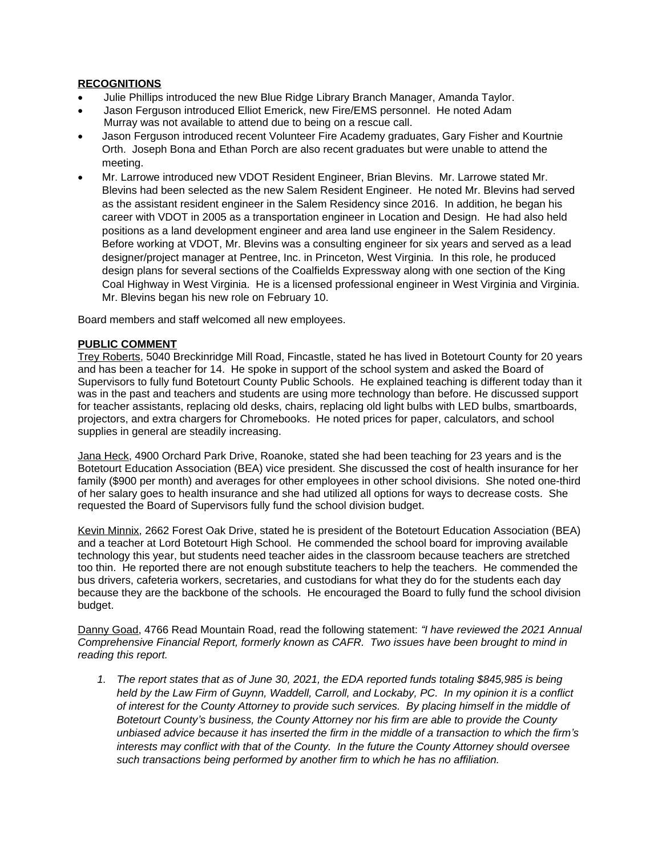# **RECOGNITIONS**

- Julie Phillips introduced the new Blue Ridge Library Branch Manager, Amanda Taylor.
- Jason Ferguson introduced Elliot Emerick, new Fire/EMS personnel. He noted Adam Murray was not available to attend due to being on a rescue call.
- Jason Ferguson introduced recent Volunteer Fire Academy graduates, Gary Fisher and Kourtnie Orth. Joseph Bona and Ethan Porch are also recent graduates but were unable to attend the meeting.
- Mr. Larrowe introduced new VDOT Resident Engineer, Brian Blevins. Mr. Larrowe stated Mr. Blevins had been selected as the new Salem Resident Engineer. He noted Mr. Blevins had served as the assistant resident engineer in the Salem Residency since 2016. In addition, he began his career with VDOT in 2005 as a transportation engineer in Location and Design. He had also held positions as a land development engineer and area land use engineer in the Salem Residency. Before working at VDOT, Mr. Blevins was a consulting engineer for six years and served as a lead designer/project manager at Pentree, Inc. in Princeton, West Virginia. In this role, he produced design plans for several sections of the Coalfields Expressway along with one section of the King Coal Highway in West Virginia. He is a licensed professional engineer in West Virginia and Virginia. Mr. Blevins began his new role on February 10.

Board members and staff welcomed all new employees.

## **PUBLIC COMMENT**

Trey Roberts, 5040 Breckinridge Mill Road, Fincastle, stated he has lived in Botetourt County for 20 years and has been a teacher for 14. He spoke in support of the school system and asked the Board of Supervisors to fully fund Botetourt County Public Schools. He explained teaching is different today than it was in the past and teachers and students are using more technology than before. He discussed support for teacher assistants, replacing old desks, chairs, replacing old light bulbs with LED bulbs, smartboards, projectors, and extra chargers for Chromebooks. He noted prices for paper, calculators, and school supplies in general are steadily increasing.

Jana Heck, 4900 Orchard Park Drive, Roanoke, stated she had been teaching for 23 years and is the Botetourt Education Association (BEA) vice president. She discussed the cost of health insurance for her family (\$900 per month) and averages for other employees in other school divisions. She noted one-third of her salary goes to health insurance and she had utilized all options for ways to decrease costs. She requested the Board of Supervisors fully fund the school division budget.

Kevin Minnix, 2662 Forest Oak Drive, stated he is president of the Botetourt Education Association (BEA) and a teacher at Lord Botetourt High School. He commended the school board for improving available technology this year, but students need teacher aides in the classroom because teachers are stretched too thin. He reported there are not enough substitute teachers to help the teachers. He commended the bus drivers, cafeteria workers, secretaries, and custodians for what they do for the students each day because they are the backbone of the schools. He encouraged the Board to fully fund the school division budget.

Danny Goad, 4766 Read Mountain Road, read the following statement: *"I have reviewed the 2021 Annual Comprehensive Financial Report, formerly known as CAFR. Two issues have been brought to mind in reading this report.*

*1. The report states that as of June 30, 2021, the EDA reported funds totaling \$845,985 is being held by the Law Firm of Guynn, Waddell, Carroll, and Lockaby, PC. In my opinion it is a conflict of interest for the County Attorney to provide such services. By placing himself in the middle of Botetourt County's business, the County Attorney nor his firm are able to provide the County unbiased advice because it has inserted the firm in the middle of a transaction to which the firm's interests may conflict with that of the County. In the future the County Attorney should oversee such transactions being performed by another firm to which he has no affiliation.*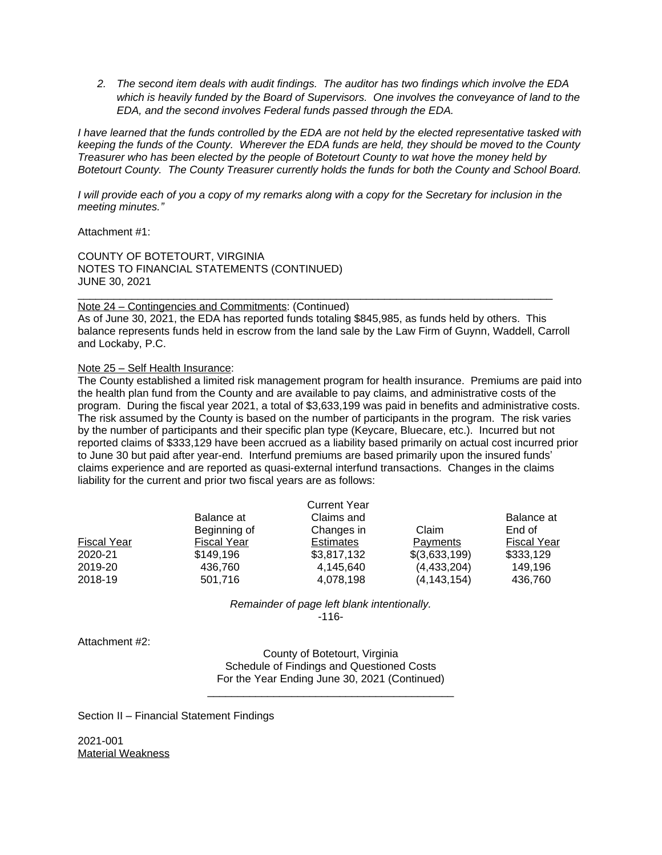*2. The second item deals with audit findings. The auditor has two findings which involve the EDA which is heavily funded by the Board of Supervisors. One involves the conveyance of land to the EDA, and the second involves Federal funds passed through the EDA.*

*I have learned that the funds controlled by the EDA are not held by the elected representative tasked with keeping the funds of the County. Wherever the EDA funds are held, they should be moved to the County Treasurer who has been elected by the people of Botetourt County to wat hove the money held by Botetourt County. The County Treasurer currently holds the funds for both the County and School Board.*

*I will provide each of you a copy of my remarks along with a copy for the Secretary for inclusion in the meeting minutes."*

Attachment #1:

COUNTY OF BOTETOURT, VIRGINIA NOTES TO FINANCIAL STATEMENTS (CONTINUED) JUNE 30, 2021

Note 24 – Contingencies and Commitments: (Continued) As of June 30, 2021, the EDA has reported funds totaling \$845,985, as funds held by others. This balance represents funds held in escrow from the land sale by the Law Firm of Guynn, Waddell, Carroll and Lockaby, P.C.

\_\_\_\_\_\_\_\_\_\_\_\_\_\_\_\_\_\_\_\_\_\_\_\_\_\_\_\_\_\_\_\_\_\_\_\_\_\_\_\_\_\_\_\_\_\_\_\_\_\_\_\_\_\_\_\_\_\_\_\_\_\_\_\_\_\_\_\_\_\_\_\_\_\_\_\_\_\_\_

Note 25 – Self Health Insurance:

The County established a limited risk management program for health insurance. Premiums are paid into the health plan fund from the County and are available to pay claims, and administrative costs of the program. During the fiscal year 2021, a total of \$3,633,199 was paid in benefits and administrative costs. The risk assumed by the County is based on the number of participants in the program. The risk varies by the number of participants and their specific plan type (Keycare, Bluecare, etc.). Incurred but not reported claims of \$333,129 have been accrued as a liability based primarily on actual cost incurred prior to June 30 but paid after year-end. Interfund premiums are based primarily upon the insured funds' claims experience and are reported as quasi-external interfund transactions. Changes in the claims liability for the current and prior two fiscal years are as follows:

|                    |                    | <b>Current Year</b> |                 |                    |
|--------------------|--------------------|---------------------|-----------------|--------------------|
|                    | Balance at         | Claims and          |                 | Balance at         |
|                    | Beginning of       | Changes in          | Claim           | End of             |
| <b>Fiscal Year</b> | <b>Fiscal Year</b> | <b>Estimates</b>    | <b>Payments</b> | <b>Fiscal Year</b> |
| 2020-21            | \$149.196          | \$3,817,132         | \$(3,633,199)   | \$333,129          |
| 2019-20            | 436,760            | 4,145,640           | (4,433,204)     | 149,196            |
| 2018-19            | 501,716            | 4,078,198           | (4, 143, 154)   | 436,760            |

*Remainder of page left blank intentionally.* -116-

Attachment #2:

County of Botetourt, Virginia Schedule of Findings and Questioned Costs For the Year Ending June 30, 2021 (Continued)

\_\_\_\_\_\_\_\_\_\_\_\_\_\_\_\_\_\_\_\_\_\_\_\_\_\_\_\_\_\_\_\_\_\_\_\_\_\_\_\_\_

Section II – Financial Statement Findings

2021-001 Material Weakness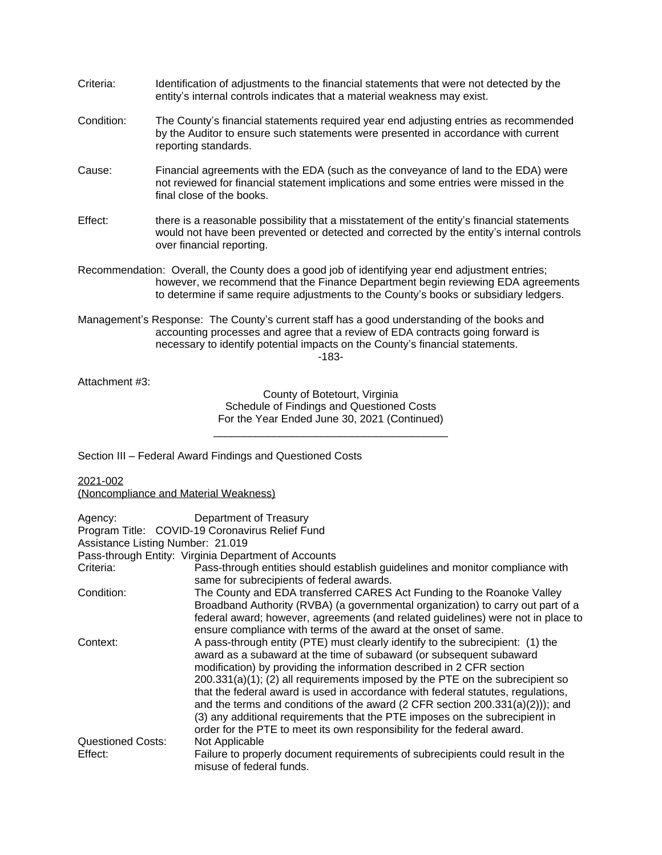| Criteria:  | Identification of adjustments to the financial statements that were not detected by the<br>entity's internal controls indicates that a material weakness may exist.                                                                                                          |
|------------|------------------------------------------------------------------------------------------------------------------------------------------------------------------------------------------------------------------------------------------------------------------------------|
| Condition: | The County's financial statements required year end adjusting entries as recommended<br>by the Auditor to ensure such statements were presented in accordance with current<br>reporting standards.                                                                           |
| Cause:     | Financial agreements with the EDA (such as the conveyance of land to the EDA) were<br>not reviewed for financial statement implications and some entries were missed in the<br>final close of the books.                                                                     |
| Effect:    | there is a reasonable possibility that a misstatement of the entity's financial statements<br>would not have been prevented or detected and corrected by the entity's internal controls<br>over financial reporting.                                                         |
|            | Recommendation: Overall, the County does a good job of identifying year end adjustment entries;<br>however, we recommend that the Finance Department begin reviewing EDA agreements<br>to determine if same require adjustments to the County's books or subsidiary ledgers. |
|            | Management's Response: The County's current staff has a good understanding of the books and<br>accounting processes and agree that a review of EDA contracts going forward is<br>necessary to identify potential impacts on the County's financial statements.               |

-183-

Attachment #3:

County of Botetourt, Virginia Schedule of Findings and Questioned Costs For the Year Ended June 30, 2021 (Continued)

\_\_\_\_\_\_\_\_\_\_\_\_\_\_\_\_\_\_\_\_\_\_\_\_\_\_\_\_\_\_\_\_\_\_\_\_\_\_\_

Section III – Federal Award Findings and Questioned Costs

2021-002

(Noncompliance and Material Weakness)

| Agency:                  | Department of Treasury                                                                                                                                                                                                                                                                                                                                                                                                                                                                                                                                                                                                                               |
|--------------------------|------------------------------------------------------------------------------------------------------------------------------------------------------------------------------------------------------------------------------------------------------------------------------------------------------------------------------------------------------------------------------------------------------------------------------------------------------------------------------------------------------------------------------------------------------------------------------------------------------------------------------------------------------|
|                          | Program Title: COVID-19 Coronavirus Relief Fund                                                                                                                                                                                                                                                                                                                                                                                                                                                                                                                                                                                                      |
|                          | Assistance Listing Number: 21.019                                                                                                                                                                                                                                                                                                                                                                                                                                                                                                                                                                                                                    |
|                          | Pass-through Entity: Virginia Department of Accounts                                                                                                                                                                                                                                                                                                                                                                                                                                                                                                                                                                                                 |
| Criteria:                | Pass-through entities should establish guidelines and monitor compliance with<br>same for subrecipients of federal awards.                                                                                                                                                                                                                                                                                                                                                                                                                                                                                                                           |
| Condition:               | The County and EDA transferred CARES Act Funding to the Roanoke Valley<br>Broadband Authority (RVBA) (a governmental organization) to carry out part of a<br>federal award; however, agreements (and related guidelines) were not in place to                                                                                                                                                                                                                                                                                                                                                                                                        |
|                          | ensure compliance with terms of the award at the onset of same.                                                                                                                                                                                                                                                                                                                                                                                                                                                                                                                                                                                      |
| Context:                 | A pass-through entity (PTE) must clearly identify to the subrecipient: (1) the<br>award as a subaward at the time of subaward (or subsequent subaward<br>modification) by providing the information described in 2 CFR section<br>$200.331(a)(1)$ ; (2) all requirements imposed by the PTE on the subrecipient so<br>that the federal award is used in accordance with federal statutes, regulations,<br>and the terms and conditions of the award (2 CFR section $200.331(a)(2))$ ); and<br>(3) any additional requirements that the PTE imposes on the subrecipient in<br>order for the PTE to meet its own responsibility for the federal award. |
| <b>Questioned Costs:</b> | Not Applicable                                                                                                                                                                                                                                                                                                                                                                                                                                                                                                                                                                                                                                       |
| Effect:                  | Failure to properly document requirements of subrecipients could result in the<br>misuse of federal funds.                                                                                                                                                                                                                                                                                                                                                                                                                                                                                                                                           |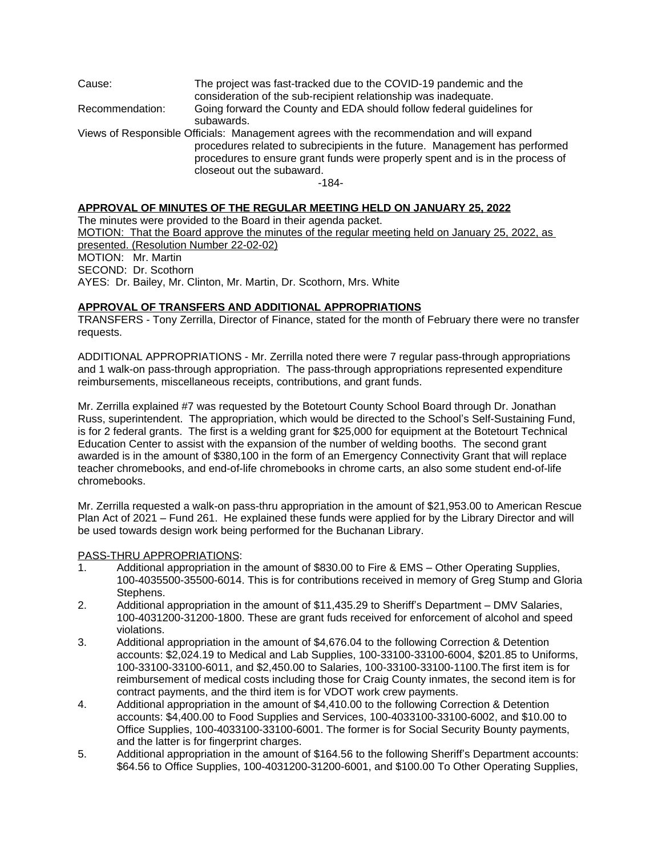Cause: The project was fast-tracked due to the COVID-19 pandemic and the consideration of the sub-recipient relationship was inadequate. Recommendation: Going forward the County and EDA should follow federal guidelines for subawards. Views of Responsible Officials: Management agrees with the recommendation and will expand procedures related to subrecipients in the future. Management has performed procedures to ensure grant funds were properly spent and is in the process of closeout out the subaward.

-184-

### **APPROVAL OF MINUTES OF THE REGULAR MEETING HELD ON JANUARY 25, 2022**

The minutes were provided to the Board in their agenda packet. MOTION: That the Board approve the minutes of the regular meeting held on January 25, 2022, as presented. (Resolution Number 22-02-02) MOTION: Mr. Martin SECOND: Dr. Scothorn AYES: Dr. Bailey, Mr. Clinton, Mr. Martin, Dr. Scothorn, Mrs. White

## **APPROVAL OF TRANSFERS AND ADDITIONAL APPROPRIATIONS**

TRANSFERS - Tony Zerrilla, Director of Finance, stated for the month of February there were no transfer requests.

ADDITIONAL APPROPRIATIONS - Mr. Zerrilla noted there were 7 regular pass-through appropriations and 1 walk-on pass-through appropriation. The pass-through appropriations represented expenditure reimbursements, miscellaneous receipts, contributions, and grant funds.

Mr. Zerrilla explained #7 was requested by the Botetourt County School Board through Dr. Jonathan Russ, superintendent. The appropriation, which would be directed to the School's Self-Sustaining Fund, is for 2 federal grants. The first is a welding grant for \$25,000 for equipment at the Botetourt Technical Education Center to assist with the expansion of the number of welding booths. The second grant awarded is in the amount of \$380,100 in the form of an Emergency Connectivity Grant that will replace teacher chromebooks, and end-of-life chromebooks in chrome carts, an also some student end-of-life chromebooks.

Mr. Zerrilla requested a walk-on pass-thru appropriation in the amount of \$21,953.00 to American Rescue Plan Act of 2021 – Fund 261. He explained these funds were applied for by the Library Director and will be used towards design work being performed for the Buchanan Library.

### PASS-THRU APPROPRIATIONS:

- 1. Additional appropriation in the amount of \$830.00 to Fire & EMS Other Operating Supplies, 100-4035500-35500-6014. This is for contributions received in memory of Greg Stump and Gloria Stephens.
- 2. Additional appropriation in the amount of \$11,435.29 to Sheriff's Department DMV Salaries, 100-4031200-31200-1800. These are grant fuds received for enforcement of alcohol and speed violations.
- 3. Additional appropriation in the amount of \$4,676.04 to the following Correction & Detention accounts: \$2,024.19 to Medical and Lab Supplies, 100-33100-33100-6004, \$201.85 to Uniforms, 100-33100-33100-6011, and \$2,450.00 to Salaries, 100-33100-33100-1100.The first item is for reimbursement of medical costs including those for Craig County inmates, the second item is for contract payments, and the third item is for VDOT work crew payments.
- 4. Additional appropriation in the amount of \$4,410.00 to the following Correction & Detention accounts: \$4,400.00 to Food Supplies and Services, 100-4033100-33100-6002, and \$10.00 to Office Supplies, 100-4033100-33100-6001. The former is for Social Security Bounty payments, and the latter is for fingerprint charges.
- 5. Additional appropriation in the amount of \$164.56 to the following Sheriff's Department accounts: \$64.56 to Office Supplies, 100-4031200-31200-6001, and \$100.00 To Other Operating Supplies,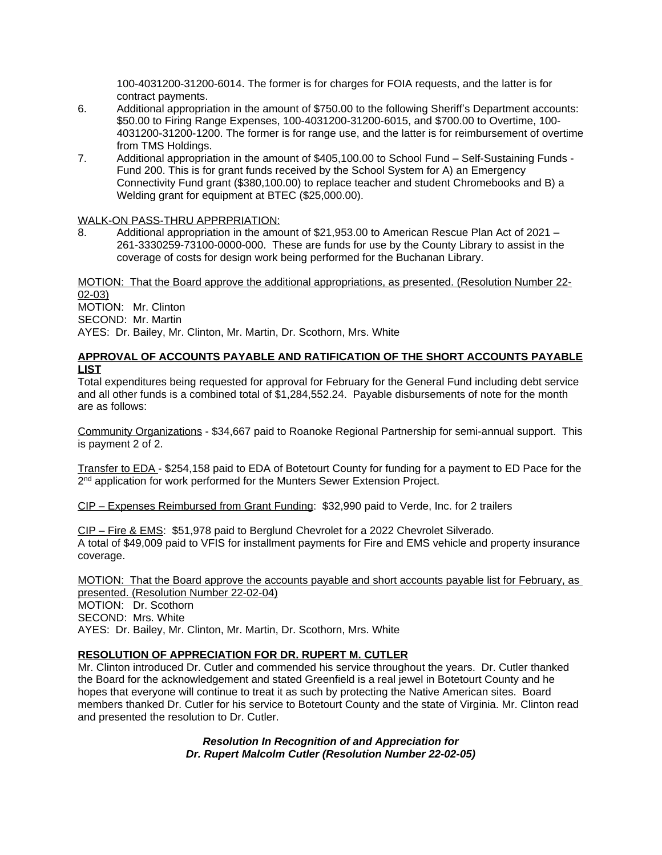100-4031200-31200-6014. The former is for charges for FOIA requests, and the latter is for contract payments.

- 6. Additional appropriation in the amount of \$750.00 to the following Sheriff's Department accounts: \$50.00 to Firing Range Expenses, 100-4031200-31200-6015, and \$700.00 to Overtime, 100- 4031200-31200-1200. The former is for range use, and the latter is for reimbursement of overtime from TMS Holdings.
- 7. Additional appropriation in the amount of \$405,100.00 to School Fund Self-Sustaining Funds Fund 200. This is for grant funds received by the School System for A) an Emergency Connectivity Fund grant (\$380,100.00) to replace teacher and student Chromebooks and B) a Welding grant for equipment at BTEC (\$25,000.00).

# WALK-ON PASS-THRU APPRPRIATION:

8. Additional appropriation in the amount of \$21,953.00 to American Rescue Plan Act of 2021 – 261-3330259-73100-0000-000. These are funds for use by the County Library to assist in the coverage of costs for design work being performed for the Buchanan Library.

MOTION: That the Board approve the additional appropriations, as presented. (Resolution Number 22- 02-03) MOTION: Mr. Clinton SECOND: Mr. Martin

AYES: Dr. Bailey, Mr. Clinton, Mr. Martin, Dr. Scothorn, Mrs. White

# **APPROVAL OF ACCOUNTS PAYABLE AND RATIFICATION OF THE SHORT ACCOUNTS PAYABLE LIST**

Total expenditures being requested for approval for February for the General Fund including debt service and all other funds is a combined total of \$1,284,552.24. Payable disbursements of note for the month are as follows:

Community Organizations - \$34,667 paid to Roanoke Regional Partnership for semi-annual support. This is payment 2 of 2.

Transfer to EDA - \$254,158 paid to EDA of Botetourt County for funding for a payment to ED Pace for the 2<sup>nd</sup> application for work performed for the Munters Sewer Extension Project.

CIP – Expenses Reimbursed from Grant Funding: \$32,990 paid to Verde, Inc. for 2 trailers

CIP – Fire & EMS: \$51,978 paid to Berglund Chevrolet for a 2022 Chevrolet Silverado. A total of \$49,009 paid to VFIS for installment payments for Fire and EMS vehicle and property insurance coverage.

MOTION: That the Board approve the accounts payable and short accounts payable list for February, as presented. (Resolution Number 22-02-04) MOTION: Dr. Scothorn

SECOND: Mrs. White

AYES: Dr. Bailey, Mr. Clinton, Mr. Martin, Dr. Scothorn, Mrs. White

# **RESOLUTION OF APPRECIATION FOR DR. RUPERT M. CUTLER**

Mr. Clinton introduced Dr. Cutler and commended his service throughout the years. Dr. Cutler thanked the Board for the acknowledgement and stated Greenfield is a real jewel in Botetourt County and he hopes that everyone will continue to treat it as such by protecting the Native American sites. Board members thanked Dr. Cutler for his service to Botetourt County and the state of Virginia. Mr. Clinton read and presented the resolution to Dr. Cutler.

> *Resolution In Recognition of and Appreciation for Dr. Rupert Malcolm Cutler (Resolution Number 22-02-05)*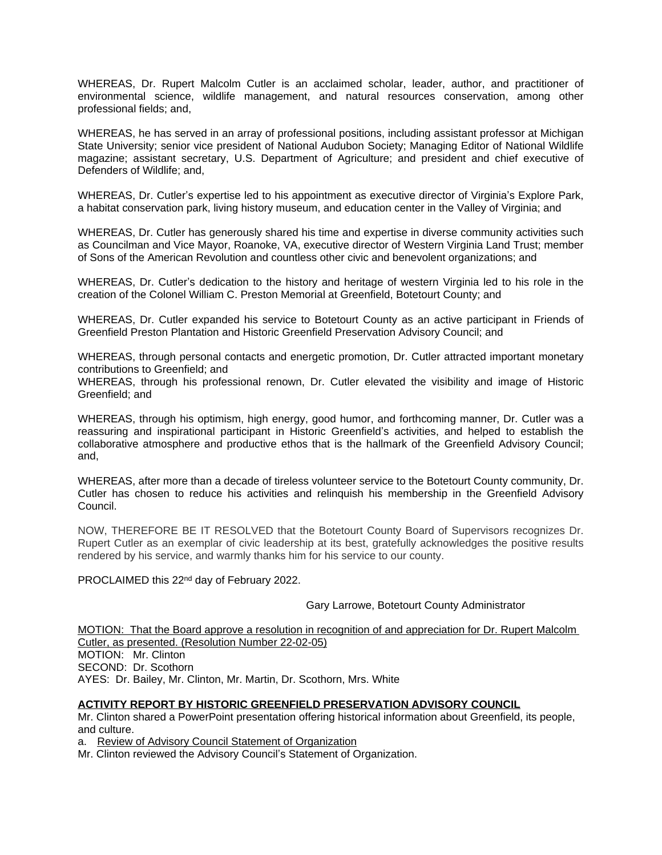WHEREAS, Dr. Rupert Malcolm Cutler is an acclaimed scholar, leader, author, and practitioner of environmental science, wildlife management, and natural resources conservation, among other professional fields; and,

WHEREAS, he has served in an array of professional positions, including assistant professor at Michigan State University; senior vice president of National Audubon Society; Managing Editor of National Wildlife magazine; assistant secretary, U.S. Department of Agriculture; and president and chief executive of Defenders of Wildlife; and,

WHEREAS, Dr. Cutler's expertise led to his appointment as executive director of Virginia's Explore Park, a habitat conservation park, living history museum, and education center in the Valley of Virginia; and

WHEREAS, Dr. Cutler has generously shared his time and expertise in diverse community activities such as Councilman and Vice Mayor, Roanoke, VA, executive director of Western Virginia Land Trust; member of Sons of the American Revolution and countless other civic and benevolent organizations; and

WHEREAS, Dr. Cutler's dedication to the history and heritage of western Virginia led to his role in the creation of the Colonel William C. Preston Memorial at Greenfield, Botetourt County; and

WHEREAS, Dr. Cutler expanded his service to Botetourt County as an active participant in Friends of Greenfield Preston Plantation and Historic Greenfield Preservation Advisory Council; and

WHEREAS, through personal contacts and energetic promotion, Dr. Cutler attracted important monetary contributions to Greenfield; and

WHEREAS, through his professional renown, Dr. Cutler elevated the visibility and image of Historic Greenfield; and

WHEREAS, through his optimism, high energy, good humor, and forthcoming manner, Dr. Cutler was a reassuring and inspirational participant in Historic Greenfield's activities, and helped to establish the collaborative atmosphere and productive ethos that is the hallmark of the Greenfield Advisory Council; and,

WHEREAS, after more than a decade of tireless volunteer service to the Botetourt County community, Dr. Cutler has chosen to reduce his activities and relinquish his membership in the Greenfield Advisory Council.

NOW, THEREFORE BE IT RESOLVED that the Botetourt County Board of Supervisors recognizes Dr. Rupert Cutler as an exemplar of civic leadership at its best, gratefully acknowledges the positive results rendered by his service, and warmly thanks him for his service to our county.

PROCLAIMED this 22<sup>nd</sup> day of February 2022.

#### Gary Larrowe, Botetourt County Administrator

MOTION: That the Board approve a resolution in recognition of and appreciation for Dr. Rupert Malcolm Cutler, as presented. (Resolution Number 22-02-05) MOTION: Mr. Clinton SECOND: Dr. Scothorn AYES: Dr. Bailey, Mr. Clinton, Mr. Martin, Dr. Scothorn, Mrs. White

### **ACTIVITY REPORT BY HISTORIC GREENFIELD PRESERVATION ADVISORY COUNCIL**

Mr. Clinton shared a PowerPoint presentation offering historical information about Greenfield, its people, and culture.

a. Review of Advisory Council Statement of Organization

Mr. Clinton reviewed the Advisory Council's Statement of Organization.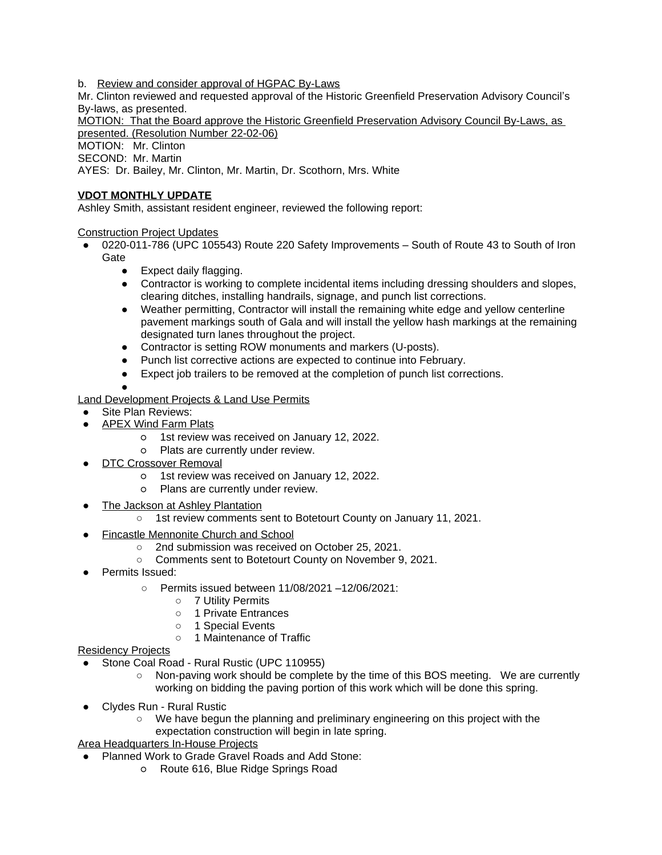b. Review and consider approval of HGPAC By-Laws

Mr. Clinton reviewed and requested approval of the Historic Greenfield Preservation Advisory Council's By-laws, as presented.

MOTION: That the Board approve the Historic Greenfield Preservation Advisory Council By-Laws, as presented. (Resolution Number 22-02-06)

MOTION: Mr. Clinton

SECOND: Mr. Martin

AYES: Dr. Bailey, Mr. Clinton, Mr. Martin, Dr. Scothorn, Mrs. White

# **VDOT MONTHLY UPDATE**

Ashley Smith, assistant resident engineer, reviewed the following report:

## Construction Project Updates

- 0220-011-786 (UPC 105543) Route 220 Safety Improvements South of Route 43 to South of Iron **Gate** 
	- Expect daily flagging.
	- Contractor is working to complete incidental items including dressing shoulders and slopes, clearing ditches, installing handrails, signage, and punch list corrections.
	- Weather permitting, Contractor will install the remaining white edge and yellow centerline pavement markings south of Gala and will install the yellow hash markings at the remaining designated turn lanes throughout the project.
	- Contractor is setting ROW monuments and markers (U-posts).
	- Punch list corrective actions are expected to continue into February.
	- Expect job trailers to be removed at the completion of punch list corrections.
	- ●

## Land Development Projects & Land Use Permits

- Site Plan Reviews:
- APEX Wind Farm Plats
	- 1st review was received on January 12, 2022.
	- Plats are currently under review.
- **DTC Crossover Removal** 
	- 1st review was received on January 12, 2022.
	- Plans are currently under review.
- The Jackson at Ashley Plantation
	- 1st review comments sent to Botetourt County on January 11, 2021.
- **Fincastle Mennonite Church and School** 
	- 2nd submission was received on October 25, 2021.
	- Comments sent to Botetourt County on November 9, 2021.
- Permits Issued:
	- Permits issued between 11/08/2021 –12/06/2021:
		- 7 Utility Permits
		- 1 Private Entrances
		- 1 Special Events
		- 1 Maintenance of Traffic

### Residency Projects

- Stone Coal Road Rural Rustic (UPC 110955)
	- Non-paving work should be complete by the time of this BOS meeting. We are currently working on bidding the paving portion of this work which will be done this spring.
- Clydes Run Rural Rustic
	- We have begun the planning and preliminary engineering on this project with the expectation construction will begin in late spring.

Area Headquarters In-House Projects

- Planned Work to Grade Gravel Roads and Add Stone:
	- Route 616, Blue Ridge Springs Road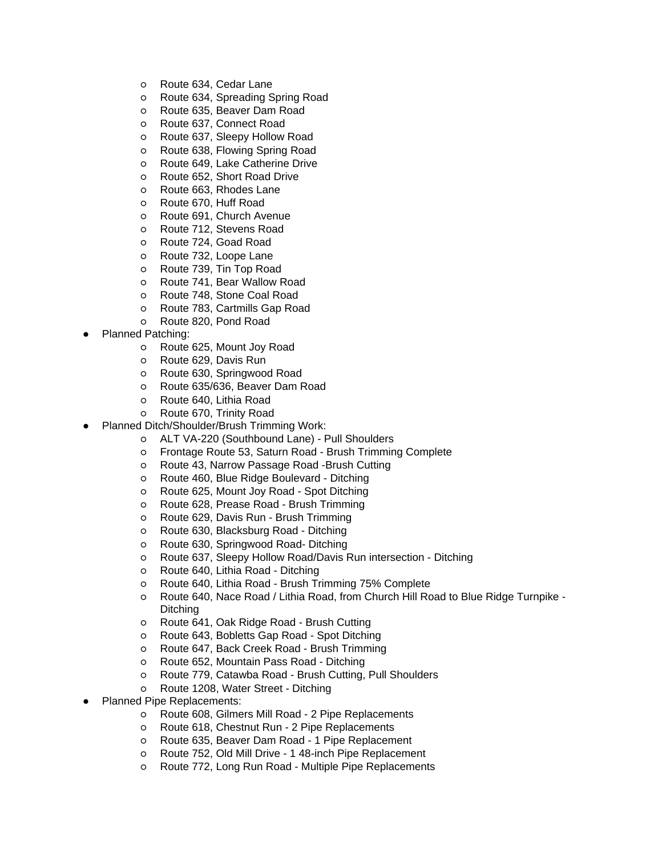- Route 634, Cedar Lane
- Route 634, Spreading Spring Road
- Route 635, Beaver Dam Road
- Route 637, Connect Road
- Route 637, Sleepy Hollow Road
- Route 638, Flowing Spring Road
- Route 649, Lake Catherine Drive
- Route 652, Short Road Drive
- Route 663, Rhodes Lane
- Route 670, Huff Road
- Route 691, Church Avenue
- Route 712, Stevens Road
- Route 724, Goad Road
- o Route 732, Loope Lane
- o Route 739, Tin Top Road
- 
- Route 741, Bear Wallow Road Route 748, Stone Coal Road
- Route 783, Cartmills Gap Road
- Route 820, Pond Road
- **Planned Patching:** 
	- o Route 625, Mount Joy Road
	- Route 629, Davis Run
	- Route 630, Springwood Road
	- Route 635/636, Beaver Dam Road
	- Route 640, Lithia Road
	- Route 670, Trinity Road
- Planned Ditch/Shoulder/Brush Trimming Work:
	- ALT VA-220 (Southbound Lane) Pull Shoulders
	- Frontage Route 53, Saturn Road Brush Trimming Complete
	- Route 43, Narrow Passage Road -Brush Cutting
	- Route 460, Blue Ridge Boulevard Ditching
	- Route 625, Mount Joy Road Spot Ditching
	- Route 628, Prease Road Brush Trimming
	- Route 629, Davis Run Brush Trimming
	- Route 630, Blacksburg Road Ditching
	- Route 630, Springwood Road- Ditching
	- Route 637, Sleepy Hollow Road/Davis Run intersection Ditching
	- Route 640, Lithia Road Ditching
	- Route 640, Lithia Road Brush Trimming 75% Complete
	- Route 640, Nace Road / Lithia Road, from Church Hill Road to Blue Ridge Turnpike Ditching
	- Route 641, Oak Ridge Road Brush Cutting
	- Route 643, Bobletts Gap Road Spot Ditching
	- Route 647, Back Creek Road Brush Trimming
	- Route 652, Mountain Pass Road Ditching
	- Route 779, Catawba Road Brush Cutting, Pull Shoulders
	- Route 1208, Water Street Ditching
- **Planned Pipe Replacements:** 
	- Route 608, Gilmers Mill Road 2 Pipe Replacements
	- Route 618, Chestnut Run 2 Pipe Replacements
	- Route 635, Beaver Dam Road 1 Pipe Replacement
	- Route 752, Old Mill Drive 1 48-inch Pipe Replacement
	- Route 772, Long Run Road Multiple Pipe Replacements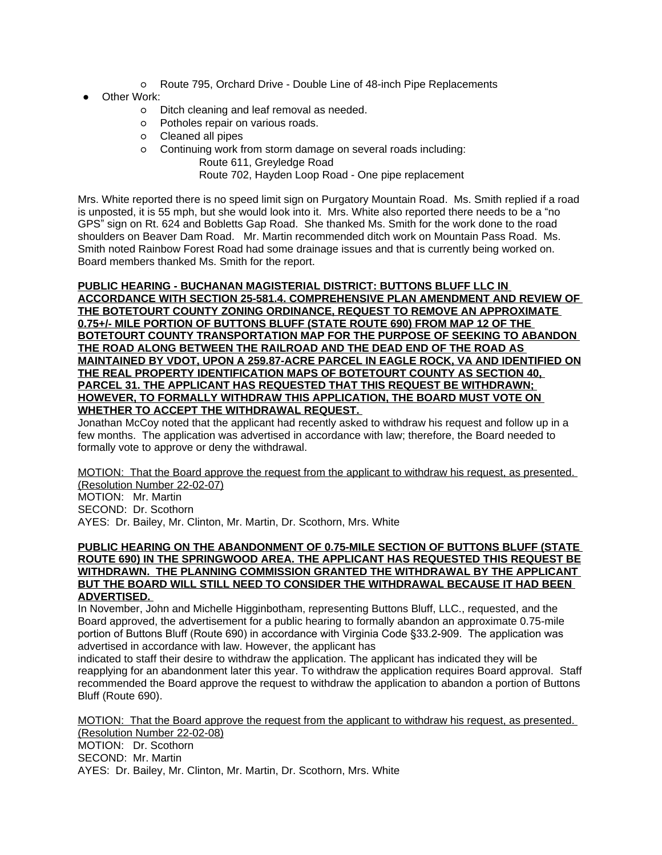- Route 795, Orchard Drive Double Line of 48-inch Pipe Replacements
- **Other Work:** 
	- Ditch cleaning and leaf removal as needed.
	- Potholes repair on various roads.
	- Cleaned all pipes
	- Continuing work from storm damage on several roads including: Route 611, Greyledge Road

Route 702, Hayden Loop Road - One pipe replacement

Mrs. White reported there is no speed limit sign on Purgatory Mountain Road. Ms. Smith replied if a road is unposted, it is 55 mph, but she would look into it. Mrs. White also reported there needs to be a "no GPS" sign on Rt. 624 and Bobletts Gap Road. She thanked Ms. Smith for the work done to the road shoulders on Beaver Dam Road. Mr. Martin recommended ditch work on Mountain Pass Road. Ms. Smith noted Rainbow Forest Road had some drainage issues and that is currently being worked on. Board members thanked Ms. Smith for the report.

### **PUBLIC HEARING - BUCHANAN MAGISTERIAL DISTRICT: BUTTONS BLUFF LLC IN ACCORDANCE WITH SECTION 25-581.4. COMPREHENSIVE PLAN AMENDMENT AND REVIEW OF THE BOTETOURT COUNTY ZONING ORDINANCE, REQUEST TO REMOVE AN APPROXIMATE 0.75+/- MILE PORTION OF BUTTONS BLUFF (STATE ROUTE 690) FROM MAP 12 OF THE BOTETOURT COUNTY TRANSPORTATION MAP FOR THE PURPOSE OF SEEKING TO ABANDON THE ROAD ALONG BETWEEN THE RAILROAD AND THE DEAD END OF THE ROAD AS MAINTAINED BY VDOT, UPON A 259.87-ACRE PARCEL IN EAGLE ROCK, VA AND IDENTIFIED ON THE REAL PROPERTY IDENTIFICATION MAPS OF BOTETOURT COUNTY AS SECTION 40, PARCEL 31. THE APPLICANT HAS REQUESTED THAT THIS REQUEST BE WITHDRAWN; HOWEVER, TO FORMALLY WITHDRAW THIS APPLICATION, THE BOARD MUST VOTE ON WHETHER TO ACCEPT THE WITHDRAWAL REQUEST.**

Jonathan McCoy noted that the applicant had recently asked to withdraw his request and follow up in a few months. The application was advertised in accordance with law; therefore, the Board needed to formally vote to approve or deny the withdrawal.

MOTION: That the Board approve the request from the applicant to withdraw his request, as presented. (Resolution Number 22-02-07)

MOTION: Mr. Martin

SECOND: Dr. Scothorn

AYES: Dr. Bailey, Mr. Clinton, Mr. Martin, Dr. Scothorn, Mrs. White

#### **PUBLIC HEARING ON THE ABANDONMENT OF 0.75-MILE SECTION OF BUTTONS BLUFF (STATE ROUTE 690) IN THE SPRINGWOOD AREA. THE APPLICANT HAS REQUESTED THIS REQUEST BE WITHDRAWN. THE PLANNING COMMISSION GRANTED THE WITHDRAWAL BY THE APPLICANT BUT THE BOARD WILL STILL NEED TO CONSIDER THE WITHDRAWAL BECAUSE IT HAD BEEN ADVERTISED.**

In November, John and Michelle Higginbotham, representing Buttons Bluff, LLC., requested, and the Board approved, the advertisement for a public hearing to formally abandon an approximate 0.75-mile portion of Buttons Bluff (Route 690) in accordance with Virginia Code §33.2-909. The application was advertised in accordance with law. However, the applicant has

indicated to staff their desire to withdraw the application. The applicant has indicated they will be reapplying for an abandonment later this year. To withdraw the application requires Board approval. Staff recommended the Board approve the request to withdraw the application to abandon a portion of Buttons Bluff (Route 690).

MOTION: That the Board approve the request from the applicant to withdraw his request, as presented. (Resolution Number 22-02-08) MOTION: Dr. Scothorn SECOND: Mr. Martin AYES: Dr. Bailey, Mr. Clinton, Mr. Martin, Dr. Scothorn, Mrs. White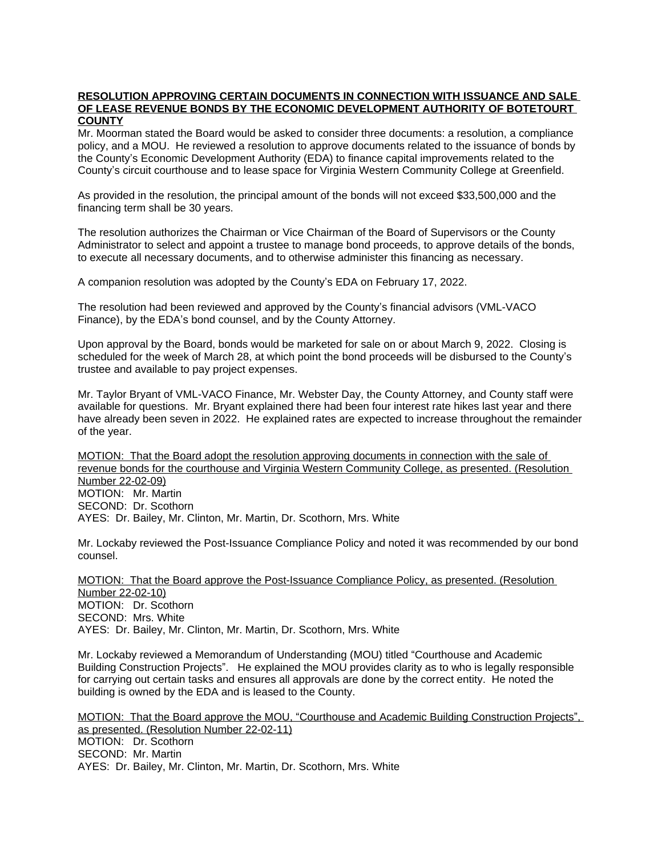#### **RESOLUTION APPROVING CERTAIN DOCUMENTS IN CONNECTION WITH ISSUANCE AND SALE OF LEASE REVENUE BONDS BY THE ECONOMIC DEVELOPMENT AUTHORITY OF BOTETOURT COUNTY**

Mr. Moorman stated the Board would be asked to consider three documents: a resolution, a compliance policy, and a MOU. He reviewed a resolution to approve documents related to the issuance of bonds by the County's Economic Development Authority (EDA) to finance capital improvements related to the County's circuit courthouse and to lease space for Virginia Western Community College at Greenfield.

As provided in the resolution, the principal amount of the bonds will not exceed \$33,500,000 and the financing term shall be 30 years.

The resolution authorizes the Chairman or Vice Chairman of the Board of Supervisors or the County Administrator to select and appoint a trustee to manage bond proceeds, to approve details of the bonds, to execute all necessary documents, and to otherwise administer this financing as necessary.

A companion resolution was adopted by the County's EDA on February 17, 2022.

The resolution had been reviewed and approved by the County's financial advisors (VML-VACO Finance), by the EDA's bond counsel, and by the County Attorney.

Upon approval by the Board, bonds would be marketed for sale on or about March 9, 2022. Closing is scheduled for the week of March 28, at which point the bond proceeds will be disbursed to the County's trustee and available to pay project expenses.

Mr. Taylor Bryant of VML-VACO Finance, Mr. Webster Day, the County Attorney, and County staff were available for questions. Mr. Bryant explained there had been four interest rate hikes last year and there have already been seven in 2022. He explained rates are expected to increase throughout the remainder of the year.

MOTION: That the Board adopt the resolution approving documents in connection with the sale of revenue bonds for the courthouse and Virginia Western Community College, as presented. (Resolution Number 22-02-09) MOTION: Mr. Martin SECOND: Dr. Scothorn AYES: Dr. Bailey, Mr. Clinton, Mr. Martin, Dr. Scothorn, Mrs. White

Mr. Lockaby reviewed the Post-Issuance Compliance Policy and noted it was recommended by our bond counsel.

MOTION: That the Board approve the Post-Issuance Compliance Policy, as presented. (Resolution Number 22-02-10) MOTION: Dr. Scothorn SECOND: Mrs. White AYES: Dr. Bailey, Mr. Clinton, Mr. Martin, Dr. Scothorn, Mrs. White

Mr. Lockaby reviewed a Memorandum of Understanding (MOU) titled "Courthouse and Academic Building Construction Projects". He explained the MOU provides clarity as to who is legally responsible for carrying out certain tasks and ensures all approvals are done by the correct entity. He noted the building is owned by the EDA and is leased to the County.

MOTION: That the Board approve the MOU, "Courthouse and Academic Building Construction Projects", as presented. (Resolution Number 22-02-11) MOTION: Dr. Scothorn SECOND: Mr. Martin AYES: Dr. Bailey, Mr. Clinton, Mr. Martin, Dr. Scothorn, Mrs. White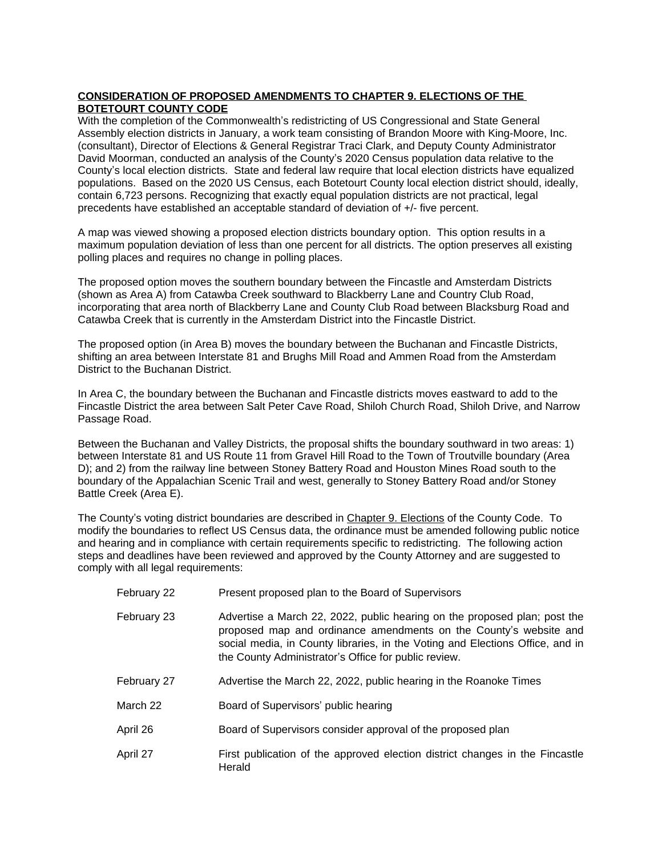# **CONSIDERATION OF PROPOSED AMENDMENTS TO CHAPTER 9. ELECTIONS OF THE BOTETOURT COUNTY CODE**

With the completion of the Commonwealth's redistricting of US Congressional and State General Assembly election districts in January, a work team consisting of Brandon Moore with King-Moore, Inc. (consultant), Director of Elections & General Registrar Traci Clark, and Deputy County Administrator David Moorman, conducted an analysis of the County's 2020 Census population data relative to the County's local election districts. State and federal law require that local election districts have equalized populations. Based on the 2020 US Census, each Botetourt County local election district should, ideally, contain 6,723 persons. Recognizing that exactly equal population districts are not practical, legal precedents have established an acceptable standard of deviation of +/- five percent.

A map was viewed showing a proposed election districts boundary option. This option results in a maximum population deviation of less than one percent for all districts. The option preserves all existing polling places and requires no change in polling places.

The proposed option moves the southern boundary between the Fincastle and Amsterdam Districts (shown as Area A) from Catawba Creek southward to Blackberry Lane and Country Club Road, incorporating that area north of Blackberry Lane and County Club Road between Blacksburg Road and Catawba Creek that is currently in the Amsterdam District into the Fincastle District.

The proposed option (in Area B) moves the boundary between the Buchanan and Fincastle Districts, shifting an area between Interstate 81 and Brughs Mill Road and Ammen Road from the Amsterdam District to the Buchanan District.

In Area C, the boundary between the Buchanan and Fincastle districts moves eastward to add to the Fincastle District the area between Salt Peter Cave Road, Shiloh Church Road, Shiloh Drive, and Narrow Passage Road.

Between the Buchanan and Valley Districts, the proposal shifts the boundary southward in two areas: 1) between Interstate 81 and US Route 11 from Gravel Hill Road to the Town of Troutville boundary (Area D); and 2) from the railway line between Stoney Battery Road and Houston Mines Road south to the boundary of the Appalachian Scenic Trail and west, generally to Stoney Battery Road and/or Stoney Battle Creek (Area E).

The County's voting district boundaries are described in Chapter 9. Elections of the County Code. To modify the boundaries to reflect US Census data, the ordinance must be amended following public notice and hearing and in compliance with certain requirements specific to redistricting. The following action steps and deadlines have been reviewed and approved by the County Attorney and are suggested to comply with all legal requirements:

| February 22 | Present proposed plan to the Board of Supervisors                                                                                                                                                                                                                                       |
|-------------|-----------------------------------------------------------------------------------------------------------------------------------------------------------------------------------------------------------------------------------------------------------------------------------------|
| February 23 | Advertise a March 22, 2022, public hearing on the proposed plan; post the<br>proposed map and ordinance amendments on the County's website and<br>social media, in County libraries, in the Voting and Elections Office, and in<br>the County Administrator's Office for public review. |
| February 27 | Advertise the March 22, 2022, public hearing in the Roanoke Times                                                                                                                                                                                                                       |
| March 22    | Board of Supervisors' public hearing                                                                                                                                                                                                                                                    |
| April 26    | Board of Supervisors consider approval of the proposed plan                                                                                                                                                                                                                             |
| April 27    | First publication of the approved election district changes in the Fincastle<br>Herald                                                                                                                                                                                                  |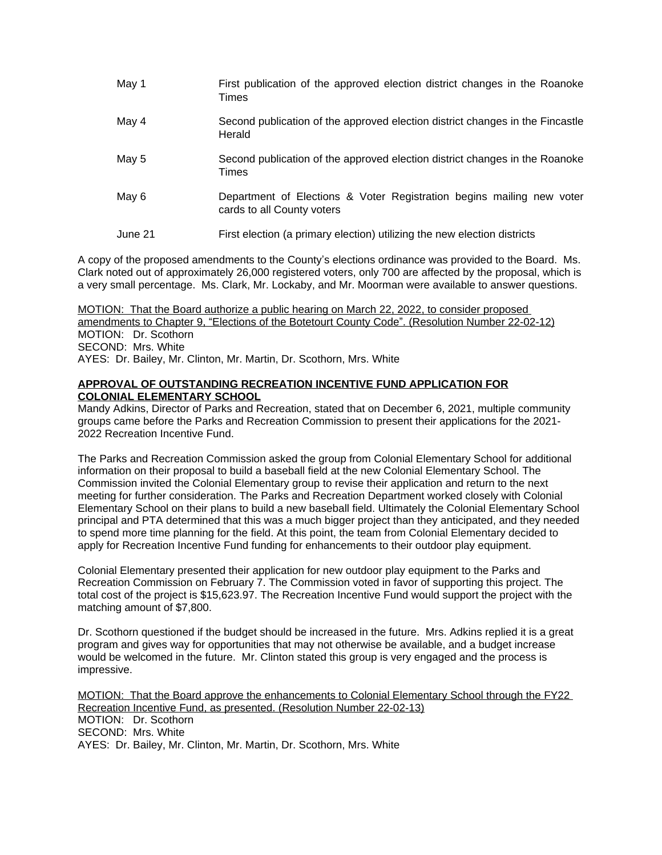| May 1   | First publication of the approved election district changes in the Roanoke<br>Times                 |
|---------|-----------------------------------------------------------------------------------------------------|
| May 4   | Second publication of the approved election district changes in the Fincastle<br>Herald             |
| May 5   | Second publication of the approved election district changes in the Roanoke<br>Times                |
| May 6   | Department of Elections & Voter Registration begins mailing new voter<br>cards to all County voters |
| June 21 | First election (a primary election) utilizing the new election districts                            |

A copy of the proposed amendments to the County's elections ordinance was provided to the Board. Ms. Clark noted out of approximately 26,000 registered voters, only 700 are affected by the proposal, which is a very small percentage. Ms. Clark, Mr. Lockaby, and Mr. Moorman were available to answer questions.

MOTION: That the Board authorize a public hearing on March 22, 2022, to consider proposed amendments to Chapter 9, "Elections of the Botetourt County Code". (Resolution Number 22-02-12) MOTION: Dr. Scothorn SECOND: Mrs. White AYES: Dr. Bailey, Mr. Clinton, Mr. Martin, Dr. Scothorn, Mrs. White

## **APPROVAL OF OUTSTANDING RECREATION INCENTIVE FUND APPLICATION FOR COLONIAL ELEMENTARY SCHOOL**

Mandy Adkins, Director of Parks and Recreation, stated that on December 6, 2021, multiple community groups came before the Parks and Recreation Commission to present their applications for the 2021- 2022 Recreation Incentive Fund.

The Parks and Recreation Commission asked the group from Colonial Elementary School for additional information on their proposal to build a baseball field at the new Colonial Elementary School. The Commission invited the Colonial Elementary group to revise their application and return to the next meeting for further consideration. The Parks and Recreation Department worked closely with Colonial Elementary School on their plans to build a new baseball field. Ultimately the Colonial Elementary School principal and PTA determined that this was a much bigger project than they anticipated, and they needed to spend more time planning for the field. At this point, the team from Colonial Elementary decided to apply for Recreation Incentive Fund funding for enhancements to their outdoor play equipment.

Colonial Elementary presented their application for new outdoor play equipment to the Parks and Recreation Commission on February 7. The Commission voted in favor of supporting this project. The total cost of the project is \$15,623.97. The Recreation Incentive Fund would support the project with the matching amount of \$7,800.

Dr. Scothorn questioned if the budget should be increased in the future. Mrs. Adkins replied it is a great program and gives way for opportunities that may not otherwise be available, and a budget increase would be welcomed in the future. Mr. Clinton stated this group is very engaged and the process is impressive.

MOTION: That the Board approve the enhancements to Colonial Elementary School through the FY22 Recreation Incentive Fund, as presented. (Resolution Number 22-02-13) MOTION: Dr. Scothorn SECOND: Mrs. White AYES: Dr. Bailey, Mr. Clinton, Mr. Martin, Dr. Scothorn, Mrs. White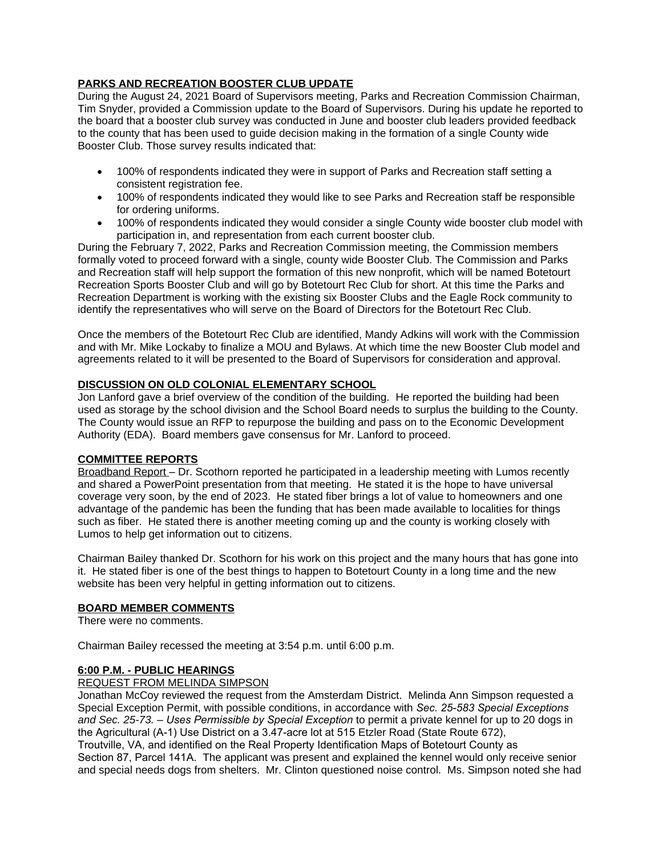# **PARKS AND RECREATION BOOSTER CLUB UPDATE**

During the August 24, 2021 Board of Supervisors meeting, Parks and Recreation Commission Chairman, Tim Snyder, provided a Commission update to the Board of Supervisors. During his update he reported to the board that a booster club survey was conducted in June and booster club leaders provided feedback to the county that has been used to guide decision making in the formation of a single County wide Booster Club. Those survey results indicated that:

- 100% of respondents indicated they were in support of Parks and Recreation staff setting a consistent registration fee.
- 100% of respondents indicated they would like to see Parks and Recreation staff be responsible for ordering uniforms.
- 100% of respondents indicated they would consider a single County wide booster club model with participation in, and representation from each current booster club.

During the February 7, 2022, Parks and Recreation Commission meeting, the Commission members formally voted to proceed forward with a single, county wide Booster Club. The Commission and Parks and Recreation staff will help support the formation of this new nonprofit, which will be named Botetourt Recreation Sports Booster Club and will go by Botetourt Rec Club for short. At this time the Parks and Recreation Department is working with the existing six Booster Clubs and the Eagle Rock community to identify the representatives who will serve on the Board of Directors for the Botetourt Rec Club.

Once the members of the Botetourt Rec Club are identified, Mandy Adkins will work with the Commission and with Mr. Mike Lockaby to finalize a MOU and Bylaws. At which time the new Booster Club model and agreements related to it will be presented to the Board of Supervisors for consideration and approval.

## **DISCUSSION ON OLD COLONIAL ELEMENTARY SCHOOL**

Jon Lanford gave a brief overview of the condition of the building. He reported the building had been used as storage by the school division and the School Board needs to surplus the building to the County. The County would issue an RFP to repurpose the building and pass on to the Economic Development Authority (EDA). Board members gave consensus for Mr. Lanford to proceed.

### **COMMITTEE REPORTS**

Broadband Report – Dr. Scothorn reported he participated in a leadership meeting with Lumos recently and shared a PowerPoint presentation from that meeting. He stated it is the hope to have universal coverage very soon, by the end of 2023. He stated fiber brings a lot of value to homeowners and one advantage of the pandemic has been the funding that has been made available to localities for things such as fiber. He stated there is another meeting coming up and the county is working closely with Lumos to help get information out to citizens.

Chairman Bailey thanked Dr. Scothorn for his work on this project and the many hours that has gone into it. He stated fiber is one of the best things to happen to Botetourt County in a long time and the new website has been very helpful in getting information out to citizens.

### **BOARD MEMBER COMMENTS**

There were no comments.

Chairman Bailey recessed the meeting at 3:54 p.m. until 6:00 p.m.

### **6:00 P.M. - PUBLIC HEARINGS**

### REQUEST FROM MELINDA SIMPSON

Jonathan McCoy reviewed the request from the Amsterdam District. Melinda Ann Simpson requested a Special Exception Permit, with possible conditions, in accordance with *Sec. 25-583 Special Exceptions and Sec. 25-73. – Uses Permissible by Special Exception* to permit a private kennel for up to 20 dogs in the Agricultural (A-1) Use District on a 3.47-acre lot at 515 Etzler Road (State Route 672),

Troutville, VA, and identified on the Real Property Identification Maps of Botetourt County as Section 87, Parcel 141A. The applicant was present and explained the kennel would only receive senior and special needs dogs from shelters. Mr. Clinton questioned noise control. Ms. Simpson noted she had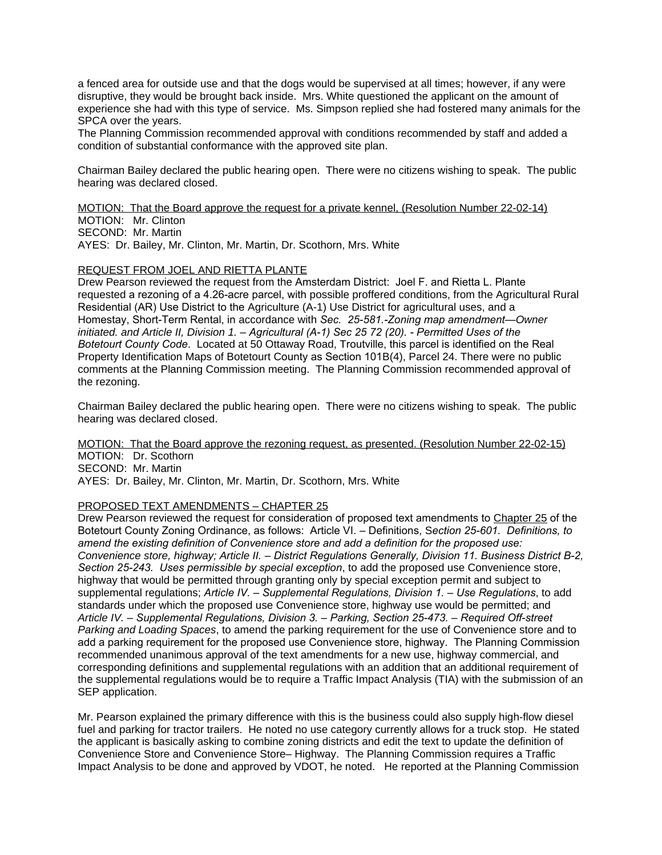a fenced area for outside use and that the dogs would be supervised at all times; however, if any were disruptive, they would be brought back inside. Mrs. White questioned the applicant on the amount of experience she had with this type of service. Ms. Simpson replied she had fostered many animals for the SPCA over the years.

The Planning Commission recommended approval with conditions recommended by staff and added a condition of substantial conformance with the approved site plan.

Chairman Bailey declared the public hearing open. There were no citizens wishing to speak. The public hearing was declared closed.

MOTION: That the Board approve the request for a private kennel, (Resolution Number 22-02-14) MOTION: Mr. Clinton SECOND: Mr. Martin AYES: Dr. Bailey, Mr. Clinton, Mr. Martin, Dr. Scothorn, Mrs. White

#### REQUEST FROM JOEL AND RIETTA PLANTE

Drew Pearson reviewed the request from the Amsterdam District: Joel F. and Rietta L. Plante requested a rezoning of a 4.26-acre parcel, with possible proffered conditions, from the Agricultural Rural Residential (AR) Use District to the Agriculture (A-1) Use District for agricultural uses, and a Homestay, Short-Term Rental, in accordance with *Sec. 25-581.-Zoning map amendment—Owner initiated. and Article II, Division 1. – Agricultural (A-1) Sec 25 72 (20). - Permitted Uses of the Botetourt County Code*. Located at 50 Ottaway Road, Troutville, this parcel is identified on the Real Property Identification Maps of Botetourt County as Section 101B(4), Parcel 24. There were no public comments at the Planning Commission meeting. The Planning Commission recommended approval of the rezoning.

Chairman Bailey declared the public hearing open. There were no citizens wishing to speak. The public hearing was declared closed.

MOTION: That the Board approve the rezoning request, as presented. (Resolution Number 22-02-15) MOTION: Dr. Scothorn

SECOND: Mr. Martin

AYES: Dr. Bailey, Mr. Clinton, Mr. Martin, Dr. Scothorn, Mrs. White

### PROPOSED TEXT AMENDMENTS – CHAPTER 25

Drew Pearson reviewed the request for consideration of proposed text amendments to Chapter 25 of the Botetourt County Zoning Ordinance, as follows: Article VI. – Definitions, S*ection 25-601. Definitions, to amend the existing definition of Convenience store and add a definition for the proposed use: Convenience store, highway; Article II. – District Regulations Generally, Division 11. Business District B-2, Section 25-243. Uses permissible by special exception*, to add the proposed use Convenience store, highway that would be permitted through granting only by special exception permit and subject to supplemental regulations; *Article IV. – Supplemental Regulations, Division 1. – Use Regulations*, to add standards under which the proposed use Convenience store, highway use would be permitted; and *Article IV. – Supplemental Regulations, Division 3. – Parking, Section 25-473. – Required Off-street Parking and Loading Spaces*, to amend the parking requirement for the use of Convenience store and to add a parking requirement for the proposed use Convenience store, highway. The Planning Commission recommended unanimous approval of the text amendments for a new use, highway commercial, and corresponding definitions and supplemental regulations with an addition that an additional requirement of the supplemental regulations would be to require a Traffic Impact Analysis (TIA) with the submission of an SEP application.

Mr. Pearson explained the primary difference with this is the business could also supply high-flow diesel fuel and parking for tractor trailers. He noted no use category currently allows for a truck stop. He stated the applicant is basically asking to combine zoning districts and edit the text to update the definition of Convenience Store and Convenience Store– Highway. The Planning Commission requires a Traffic Impact Analysis to be done and approved by VDOT, he noted. He reported at the Planning Commission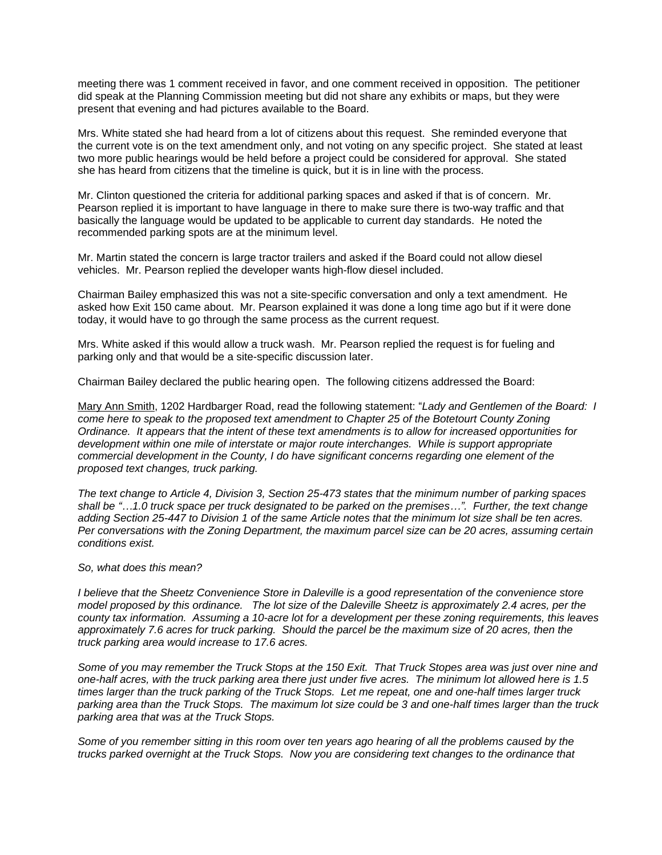meeting there was 1 comment received in favor, and one comment received in opposition. The petitioner did speak at the Planning Commission meeting but did not share any exhibits or maps, but they were present that evening and had pictures available to the Board.

Mrs. White stated she had heard from a lot of citizens about this request. She reminded everyone that the current vote is on the text amendment only, and not voting on any specific project. She stated at least two more public hearings would be held before a project could be considered for approval. She stated she has heard from citizens that the timeline is quick, but it is in line with the process.

Mr. Clinton questioned the criteria for additional parking spaces and asked if that is of concern. Mr. Pearson replied it is important to have language in there to make sure there is two-way traffic and that basically the language would be updated to be applicable to current day standards. He noted the recommended parking spots are at the minimum level.

Mr. Martin stated the concern is large tractor trailers and asked if the Board could not allow diesel vehicles. Mr. Pearson replied the developer wants high-flow diesel included.

Chairman Bailey emphasized this was not a site-specific conversation and only a text amendment. He asked how Exit 150 came about. Mr. Pearson explained it was done a long time ago but if it were done today, it would have to go through the same process as the current request.

Mrs. White asked if this would allow a truck wash. Mr. Pearson replied the request is for fueling and parking only and that would be a site-specific discussion later.

Chairman Bailey declared the public hearing open. The following citizens addressed the Board:

Mary Ann Smith, 1202 Hardbarger Road, read the following statement: "*Lady and Gentlemen of the Board: I come here to speak to the proposed text amendment to Chapter 25 of the Botetourt County Zoning Ordinance. It appears that the intent of these text amendments is to allow for increased opportunities for development within one mile of interstate or major route interchanges. While is support appropriate commercial development in the County, I do have significant concerns regarding one element of the proposed text changes, truck parking.* 

*The text change to Article 4, Division 3, Section 25-473 states that the minimum number of parking spaces shall be "…1.0 truck space per truck designated to be parked on the premises…". Further, the text change adding Section 25-447 to Division 1 of the same Article notes that the minimum lot size shall be ten acres. Per conversations with the Zoning Department, the maximum parcel size can be 20 acres, assuming certain conditions exist.* 

#### *So, what does this mean?*

*I believe that the Sheetz Convenience Store in Daleville is a good representation of the convenience store model proposed by this ordinance. The lot size of the Daleville Sheetz is approximately 2.4 acres, per the county tax information. Assuming a 10-acre lot for a development per these zoning requirements, this leaves approximately 7.6 acres for truck parking. Should the parcel be the maximum size of 20 acres, then the truck parking area would increase to 17.6 acres.* 

*Some of you may remember the Truck Stops at the 150 Exit. That Truck Stopes area was just over nine and one-half acres, with the truck parking area there just under five acres. The minimum lot allowed here is 1.5 times larger than the truck parking of the Truck Stops. Let me repeat, one and one-half times larger truck parking area than the Truck Stops. The maximum lot size could be 3 and one-half times larger than the truck parking area that was at the Truck Stops.* 

*Some of you remember sitting in this room over ten years ago hearing of all the problems caused by the trucks parked overnight at the Truck Stops. Now you are considering text changes to the ordinance that*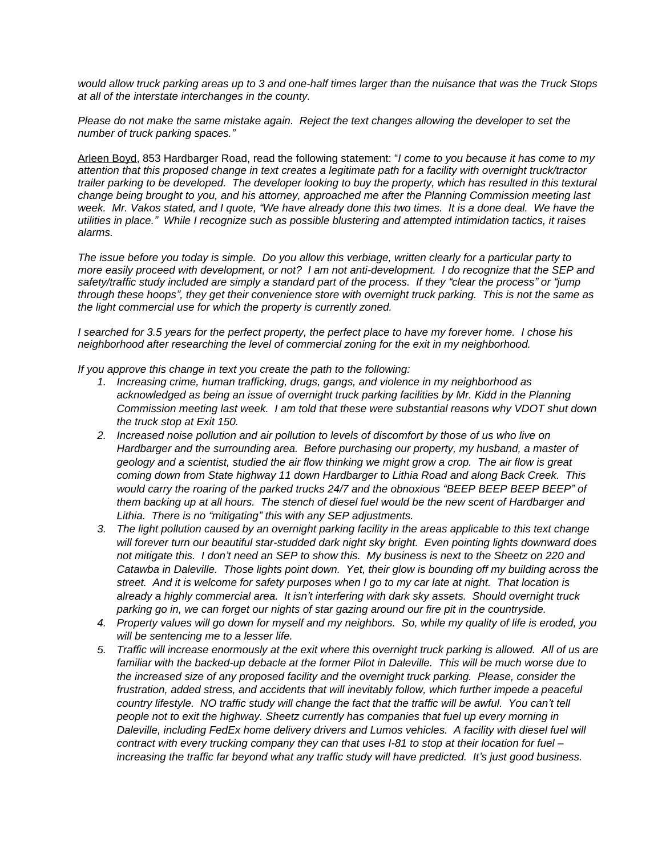*would allow truck parking areas up to 3 and one-half times larger than the nuisance that was the Truck Stops at all of the interstate interchanges in the county.*

*Please do not make the same mistake again. Reject the text changes allowing the developer to set the number of truck parking spaces."*

Arleen Boyd, 853 Hardbarger Road, read the following statement: "*I come to you because it has come to my attention that this proposed change in text creates a legitimate path for a facility with overnight truck/tractor trailer parking to be developed. The developer looking to buy the property, which has resulted in this textural change being brought to you, and his attorney, approached me after the Planning Commission meeting last week. Mr. Vakos stated, and I quote, "We have already done this two times. It is a done deal. We have the utilities in place." While I recognize such as possible blustering and attempted intimidation tactics, it raises alarms.* 

*The issue before you today is simple. Do you allow this verbiage, written clearly for a particular party to more easily proceed with development, or not? I am not anti-development. I do recognize that the SEP and safety/traffic study included are simply a standard part of the process. If they "clear the process" or "jump through these hoops", they get their convenience store with overnight truck parking. This is not the same as the light commercial use for which the property is currently zoned.* 

*I searched for 3.5 years for the perfect property, the perfect place to have my forever home. I chose his neighborhood after researching the level of commercial zoning for the exit in my neighborhood.* 

*If you approve this change in text you create the path to the following:*

- *1. Increasing crime, human trafficking, drugs, gangs, and violence in my neighborhood as acknowledged as being an issue of overnight truck parking facilities by Mr. Kidd in the Planning Commission meeting last week. I am told that these were substantial reasons why VDOT shut down the truck stop at Exit 150.*
- *2. Increased noise pollution and air pollution to levels of discomfort by those of us who live on Hardbarger and the surrounding area. Before purchasing our property, my husband, a master of geology and a scientist, studied the air flow thinking we might grow a crop. The air flow is great coming down from State highway 11 down Hardbarger to Lithia Road and along Back Creek. This would carry the roaring of the parked trucks 24/7 and the obnoxious "BEEP BEEP BEEP BEEP" of them backing up at all hours. The stench of diesel fuel would be the new scent of Hardbarger and Lithia. There is no "mitigating" this with any SEP adjustments.*
- *3. The light pollution caused by an overnight parking facility in the areas applicable to this text change will forever turn our beautiful star-studded dark night sky bright. Even pointing lights downward does not mitigate this. I don't need an SEP to show this. My business is next to the Sheetz on 220 and Catawba in Daleville. Those lights point down. Yet, their glow is bounding off my building across the street. And it is welcome for safety purposes when I go to my car late at night. That location is already a highly commercial area. It isn't interfering with dark sky assets. Should overnight truck parking go in, we can forget our nights of star gazing around our fire pit in the countryside.*
- *4. Property values will go down for myself and my neighbors. So, while my quality of life is eroded, you will be sentencing me to a lesser life.*
- *5. Traffic will increase enormously at the exit where this overnight truck parking is allowed. All of us are* familiar with the backed-up debacle at the former Pilot in Daleville. This will be much worse due to *the increased size of any proposed facility and the overnight truck parking. Please, consider the frustration, added stress, and accidents that will inevitably follow, which further impede a peaceful country lifestyle. NO traffic study will change the fact that the traffic will be awful. You can't tell people not to exit the highway. Sheetz currently has companies that fuel up every morning in Daleville, including FedEx home delivery drivers and Lumos vehicles. A facility with diesel fuel will contract with every trucking company they can that uses I-81 to stop at their location for fuel – increasing the traffic far beyond what any traffic study will have predicted. It's just good business.*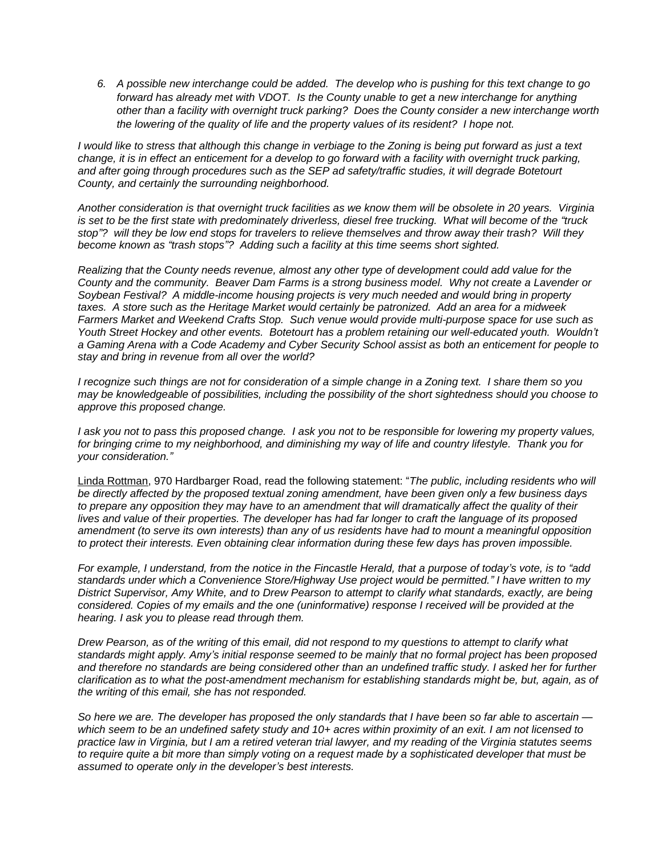*6. A possible new interchange could be added. The develop who is pushing for this text change to go forward has already met with VDOT. Is the County unable to get a new interchange for anything other than a facility with overnight truck parking? Does the County consider a new interchange worth the lowering of the quality of life and the property values of its resident? I hope not.* 

*I would like to stress that although this change in verbiage to the Zoning is being put forward as just a text change, it is in effect an enticement for a develop to go forward with a facility with overnight truck parking, and after going through procedures such as the SEP ad safety/traffic studies, it will degrade Botetourt County, and certainly the surrounding neighborhood.* 

*Another consideration is that overnight truck facilities as we know them will be obsolete in 20 years. Virginia is set to be the first state with predominately driverless, diesel free trucking. What will become of the "truck stop"? will they be low end stops for travelers to relieve themselves and throw away their trash? Will they become known as "trash stops"? Adding such a facility at this time seems short sighted.*

*Realizing that the County needs revenue, almost any other type of development could add value for the County and the community. Beaver Dam Farms is a strong business model. Why not create a Lavender or Soybean Festival? A middle-income housing projects is very much needed and would bring in property taxes. A store such as the Heritage Market would certainly be patronized. Add an area for a midweek Farmers Market and Weekend Crafts Stop. Such venue would provide multi-purpose space for use such as Youth Street Hockey and other events. Botetourt has a problem retaining our well-educated youth. Wouldn't a Gaming Arena with a Code Academy and Cyber Security School assist as both an enticement for people to stay and bring in revenue from all over the world?* 

*I recognize such things are not for consideration of a simple change in a Zoning text. I share them so you may be knowledgeable of possibilities, including the possibility of the short sightedness should you choose to approve this proposed change.* 

*I ask you not to pass this proposed change. I ask you not to be responsible for lowering my property values, for bringing crime to my neighborhood, and diminishing my way of life and country lifestyle. Thank you for your consideration."*

Linda Rottman, 970 Hardbarger Road, read the following statement: "*The public, including residents who will be directly affected by the proposed textual zoning amendment, have been given only a few business days to prepare any opposition they may have to an amendment that will dramatically affect the quality of their lives and value of their properties. The developer has had far longer to craft the language of its proposed amendment (to serve its own interests) than any of us residents have had to mount a meaningful opposition to protect their interests. Even obtaining clear information during these few days has proven impossible.* 

*For example, I understand, from the notice in the Fincastle Herald, that a purpose of today's vote, is to "add standards under which a Convenience Store/Highway Use project would be permitted." I have written to my District Supervisor, Amy White, and to Drew Pearson to attempt to clarify what standards, exactly, are being considered. Copies of my emails and the one (uninformative) response I received will be provided at the hearing. I ask you to please read through them.* 

*Drew Pearson, as of the writing of this email, did not respond to my questions to attempt to clarify what standards might apply. Amy's initial response seemed to be mainly that no formal project has been proposed and therefore no standards are being considered other than an undefined traffic study. I asked her for further clarification as to what the post-amendment mechanism for establishing standards might be, but, again, as of the writing of this email, she has not responded.* 

*So here we are. The developer has proposed the only standards that I have been so far able to ascertain which seem to be an undefined safety study and 10+ acres within proximity of an exit. I am not licensed to practice law in Virginia, but I am a retired veteran trial lawyer, and my reading of the Virginia statutes seems to require quite a bit more than simply voting on a request made by a sophisticated developer that must be assumed to operate only in the developer's best interests.*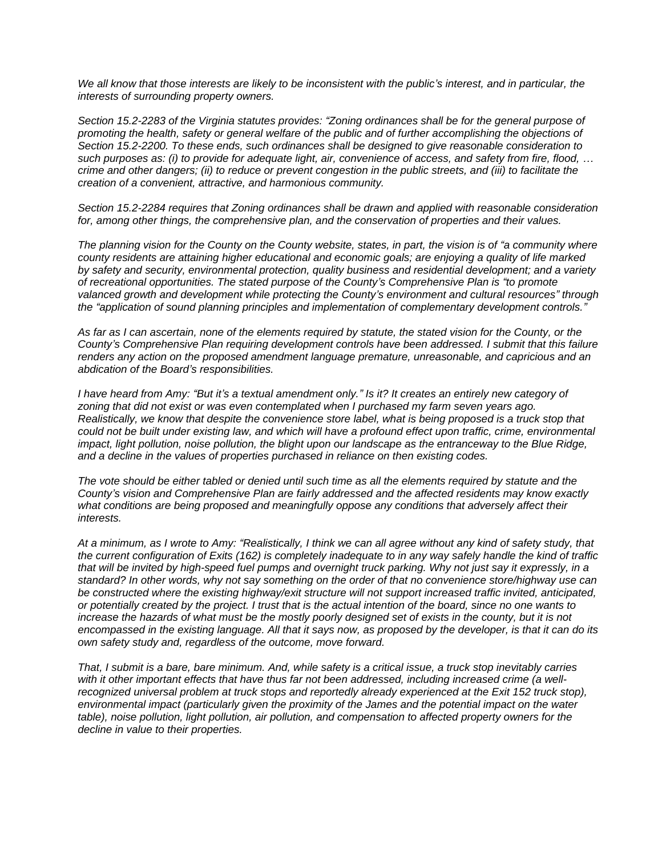*We all know that those interests are likely to be inconsistent with the public's interest, and in particular, the interests of surrounding property owners.* 

*Section 15.2-2283 of the Virginia statutes provides: "Zoning ordinances shall be for the general purpose of promoting the health, safety or general welfare of the public and of further accomplishing the objections of Section 15.2-2200. To these ends, such ordinances shall be designed to give reasonable consideration to such purposes as: (i) to provide for adequate light, air, convenience of access, and safety from fire, flood, … crime and other dangers; (ii) to reduce or prevent congestion in the public streets, and (iii) to facilitate the creation of a convenient, attractive, and harmonious community.*

*Section 15.2-2284 requires that Zoning ordinances shall be drawn and applied with reasonable consideration for, among other things, the comprehensive plan, and the conservation of properties and their values.* 

*The planning vision for the County on the County website, states, in part, the vision is of "a community where county residents are attaining higher educational and economic goals; are enjoying a quality of life marked by safety and security, environmental protection, quality business and residential development; and a variety of recreational opportunities. The stated purpose of the County's Comprehensive Plan is "to promote valanced growth and development while protecting the County's environment and cultural resources" through the "application of sound planning principles and implementation of complementary development controls."*

*As far as I can ascertain, none of the elements required by statute, the stated vision for the County, or the County's Comprehensive Plan requiring development controls have been addressed. I submit that this failure renders any action on the proposed amendment language premature, unreasonable, and capricious and an abdication of the Board's responsibilities.* 

*I have heard from Amy: "But it's a textual amendment only." Is it? It creates an entirely new category of zoning that did not exist or was even contemplated when I purchased my farm seven years ago. Realistically, we know that despite the convenience store label, what is being proposed is a truck stop that could not be built under existing law, and which will have a profound effect upon traffic, crime, environmental impact, light pollution, noise pollution, the blight upon our landscape as the entranceway to the Blue Ridge, and a decline in the values of properties purchased in reliance on then existing codes.* 

*The vote should be either tabled or denied until such time as all the elements required by statute and the County's vision and Comprehensive Plan are fairly addressed and the affected residents may know exactly what conditions are being proposed and meaningfully oppose any conditions that adversely affect their interests.* 

*At a minimum, as I wrote to Amy: "Realistically, I think we can all agree without any kind of safety study, that the current configuration of Exits (162) is completely inadequate to in any way safely handle the kind of traffic that will be invited by high-speed fuel pumps and overnight truck parking. Why not just say it expressly, in a standard? In other words, why not say something on the order of that no convenience store/highway use can be constructed where the existing highway/exit structure will not support increased traffic invited, anticipated, or potentially created by the project. I trust that is the actual intention of the board, since no one wants to increase the hazards of what must be the mostly poorly designed set of exists in the county, but it is not encompassed in the existing language. All that it says now, as proposed by the developer, is that it can do its own safety study and, regardless of the outcome, move forward.* 

*That, I submit is a bare, bare minimum. And, while safety is a critical issue, a truck stop inevitably carries with it other important effects that have thus far not been addressed, including increased crime (a well*recognized universal problem at truck stops and reportedly already experienced at the Exit 152 truck stop), *environmental impact (particularly given the proximity of the James and the potential impact on the water table), noise pollution, light pollution, air pollution, and compensation to affected property owners for the decline in value to their properties.*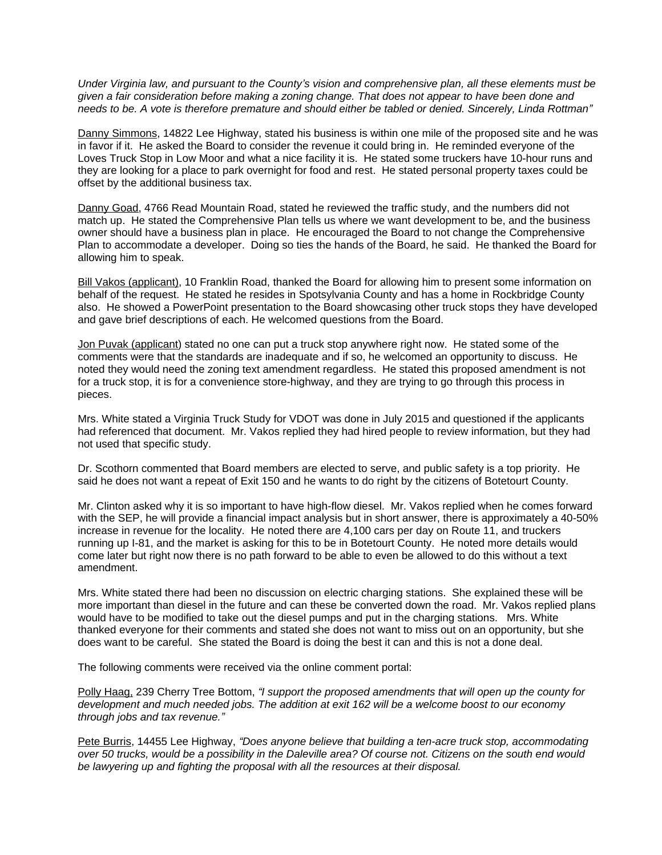*Under Virginia law, and pursuant to the County's vision and comprehensive plan, all these elements must be given a fair consideration before making a zoning change. That does not appear to have been done and needs to be. A vote is therefore premature and should either be tabled or denied. Sincerely, Linda Rottman"*

Danny Simmons, 14822 Lee Highway, stated his business is within one mile of the proposed site and he was in favor if it. He asked the Board to consider the revenue it could bring in. He reminded everyone of the Loves Truck Stop in Low Moor and what a nice facility it is. He stated some truckers have 10-hour runs and they are looking for a place to park overnight for food and rest. He stated personal property taxes could be offset by the additional business tax.

Danny Goad, 4766 Read Mountain Road, stated he reviewed the traffic study, and the numbers did not match up. He stated the Comprehensive Plan tells us where we want development to be, and the business owner should have a business plan in place. He encouraged the Board to not change the Comprehensive Plan to accommodate a developer. Doing so ties the hands of the Board, he said. He thanked the Board for allowing him to speak.

Bill Vakos (applicant), 10 Franklin Road, thanked the Board for allowing him to present some information on behalf of the request. He stated he resides in Spotsylvania County and has a home in Rockbridge County also. He showed a PowerPoint presentation to the Board showcasing other truck stops they have developed and gave brief descriptions of each. He welcomed questions from the Board.

Jon Puvak (applicant) stated no one can put a truck stop anywhere right now. He stated some of the comments were that the standards are inadequate and if so, he welcomed an opportunity to discuss. He noted they would need the zoning text amendment regardless. He stated this proposed amendment is not for a truck stop, it is for a convenience store-highway, and they are trying to go through this process in pieces.

Mrs. White stated a Virginia Truck Study for VDOT was done in July 2015 and questioned if the applicants had referenced that document. Mr. Vakos replied they had hired people to review information, but they had not used that specific study.

Dr. Scothorn commented that Board members are elected to serve, and public safety is a top priority. He said he does not want a repeat of Exit 150 and he wants to do right by the citizens of Botetourt County.

Mr. Clinton asked why it is so important to have high-flow diesel. Mr. Vakos replied when he comes forward with the SEP, he will provide a financial impact analysis but in short answer, there is approximately a 40-50% increase in revenue for the locality. He noted there are 4,100 cars per day on Route 11, and truckers running up I-81, and the market is asking for this to be in Botetourt County. He noted more details would come later but right now there is no path forward to be able to even be allowed to do this without a text amendment.

Mrs. White stated there had been no discussion on electric charging stations. She explained these will be more important than diesel in the future and can these be converted down the road. Mr. Vakos replied plans would have to be modified to take out the diesel pumps and put in the charging stations. Mrs. White thanked everyone for their comments and stated she does not want to miss out on an opportunity, but she does want to be careful. She stated the Board is doing the best it can and this is not a done deal.

The following comments were received via the online comment portal:

Polly Haag, 239 Cherry Tree Bottom, *"I support the proposed amendments that will open up the county for development and much needed jobs. The addition at exit 162 will be a welcome boost to our economy through jobs and tax revenue."*

Pete Burris, 14455 Lee Highway, *"Does anyone believe that building a ten-acre truck stop, accommodating over 50 trucks, would be a possibility in the Daleville area? Of course not. Citizens on the south end would be lawyering up and fighting the proposal with all the resources at their disposal.*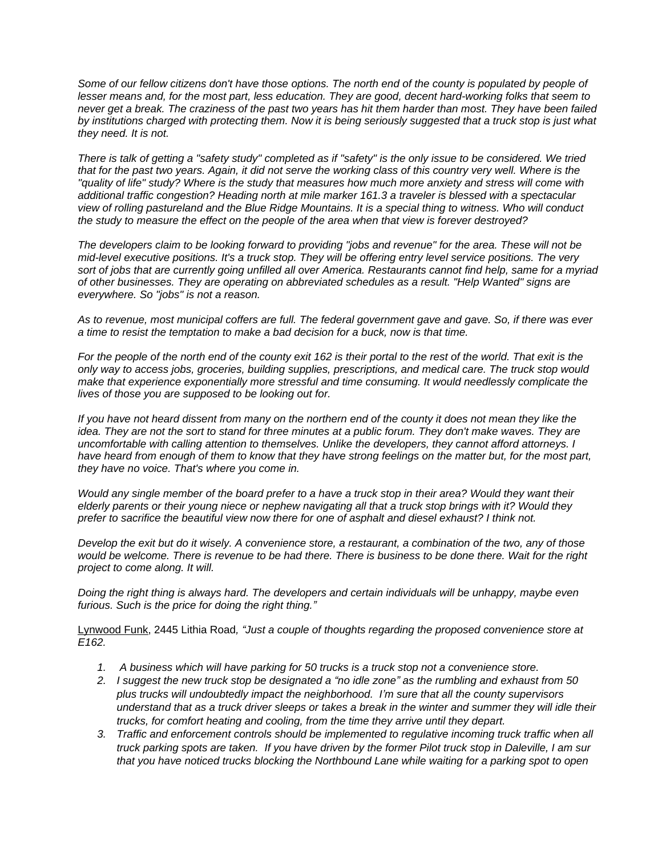Some of our fellow citizens don't have those options. The north end of the county is populated by people of *lesser means and, for the most part, less education. They are good, decent hard-working folks that seem to never get a break. The craziness of the past two years has hit them harder than most. They have been failed by institutions charged with protecting them. Now it is being seriously suggested that a truck stop is just what they need. It is not.* 

*There is talk of getting a "safety study" completed as if "safety" is the only issue to be considered. We tried that for the past two years. Again, it did not serve the working class of this country very well. Where is the "quality of life" study? Where is the study that measures how much more anxiety and stress will come with additional traffic congestion? Heading north at mile marker 161.3 a traveler is blessed with a spectacular view of rolling pastureland and the Blue Ridge Mountains. It is a special thing to witness. Who will conduct the study to measure the effect on the people of the area when that view is forever destroyed?* 

*The developers claim to be looking forward to providing "jobs and revenue" for the area. These will not be mid-level executive positions. It's a truck stop. They will be offering entry level service positions. The very sort of jobs that are currently going unfilled all over America. Restaurants cannot find help, same for a myriad of other businesses. They are operating on abbreviated schedules as a result. "Help Wanted" signs are everywhere. So "jobs" is not a reason.* 

*As to revenue, most municipal coffers are full. The federal government gave and gave. So, if there was ever a time to resist the temptation to make a bad decision for a buck, now is that time.* 

*For the people of the north end of the county exit 162 is their portal to the rest of the world. That exit is the only way to access jobs, groceries, building supplies, prescriptions, and medical care. The truck stop would make that experience exponentially more stressful and time consuming. It would needlessly complicate the lives of those you are supposed to be looking out for.* 

*If you have not heard dissent from many on the northern end of the county it does not mean they like the idea. They are not the sort to stand for three minutes at a public forum. They don't make waves. They are uncomfortable with calling attention to themselves. Unlike the developers, they cannot afford attorneys. I*  have heard from enough of them to know that they have strong feelings on the matter but, for the most part, *they have no voice. That's where you come in.* 

*Would any single member of the board prefer to a have a truck stop in their area? Would they want their elderly parents or their young niece or nephew navigating all that a truck stop brings with it? Would they prefer to sacrifice the beautiful view now there for one of asphalt and diesel exhaust? I think not.* 

*Develop the exit but do it wisely. A convenience store, a restaurant, a combination of the two, any of those would be welcome. There is revenue to be had there. There is business to be done there. Wait for the right project to come along. It will.* 

*Doing the right thing is always hard. The developers and certain individuals will be unhappy, maybe even furious. Such is the price for doing the right thing."*

Lynwood Funk, 2445 Lithia Road*, "Just a couple of thoughts regarding the proposed convenience store at E162.*

- *1. A business which will have parking for 50 trucks is a truck stop not a convenience store.*
- *2. I suggest the new truck stop be designated a "no idle zone" as the rumbling and exhaust from 50 plus trucks will undoubtedly impact the neighborhood. I'm sure that all the county supervisors understand that as a truck driver sleeps or takes a break in the winter and summer they will idle their trucks, for comfort heating and cooling, from the time they arrive until they depart.*
- *3. Traffic and enforcement controls should be implemented to regulative incoming truck traffic when all truck parking spots are taken. If you have driven by the former Pilot truck stop in Daleville, I am sur that you have noticed trucks blocking the Northbound Lane while waiting for a parking spot to open*